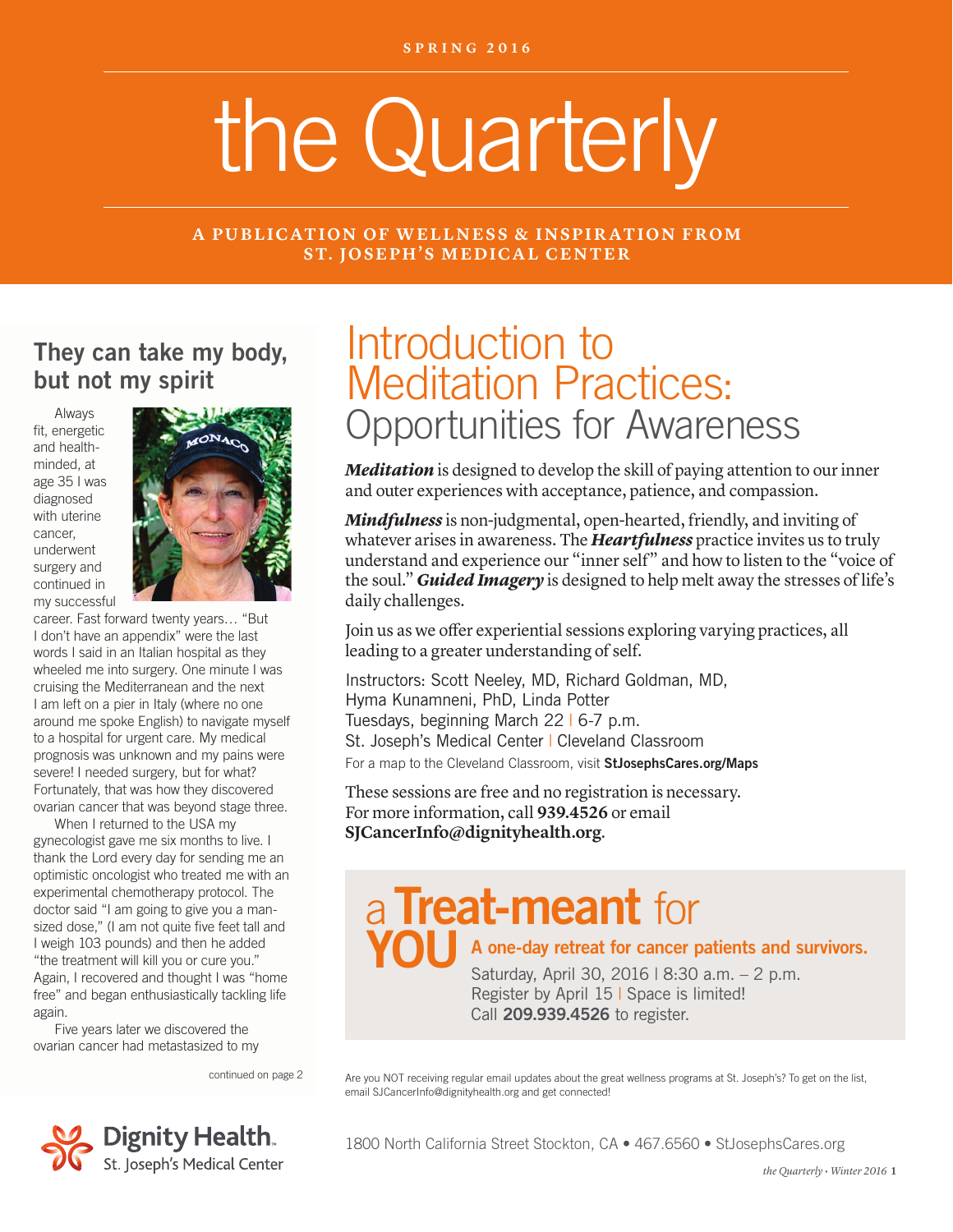# the Quarterly

#### **A PUBLICATION OF WELLNESS & INSPIRATION FROM ST. JOSEPH'S MEDICAL CENTER**

### They can take my body, but not my spirit

Always fit, energetic and healthminded, at age 35 I was diagnosed with uterine cancer, underwent surgery and continued in my successful



career. Fast forward twenty years… "But I don't have an appendix" were the last words I said in an Italian hospital as they wheeled me into surgery. One minute I was cruising the Mediterranean and the next I am left on a pier in Italy (where no one around me spoke English) to navigate myself to a hospital for urgent care. My medical prognosis was unknown and my pains were severe! I needed surgery, but for what? Fortunately, that was how they discovered ovarian cancer that was beyond stage three.

When I returned to the USA my gynecologist gave me six months to live. I thank the Lord every day for sending me an optimistic oncologist who treated me with an experimental chemotherapy protocol. The doctor said "I am going to give you a mansized dose," (I am not quite five feet tall and I weigh 103 pounds) and then he added "the treatment will kill you or cure you." Again, I recovered and thought I was "home free" and began enthusiastically tackling life again.

Five years later we discovered the ovarian cancer had metastasized to my

continued on page 2



# Introduction to Meditation Practices: Opportunities for Awareness

*Meditation* is designed to develop the skill of paying attention to our inner and outer experiences with acceptance, patience, and compassion.

*Mindfulness* is non-judgmental, open-hearted, friendly, and inviting of whatever arises in awareness. The *Heartfulness* practice invites us to truly understand and experience our "inner self" and how to listen to the "voice of the soul." *Guided Imagery* is designed to help melt away the stresses of life's daily challenges.

Join us as we offer experiential sessions exploring varying practices, all leading to a greater understanding of self.

Instructors: Scott Neeley, MD, Richard Goldman, MD, Hyma Kunamneni, PhD, Linda Potter Tuesdays, beginning March 22 | 6-7 p.m. St. Joseph's Medical Center | Cleveland Classroom For a map to the Cleveland Classroom, visit StJosephsCares.org/Maps

These sessions are free and no registration is necessary. For more information, call **939.4526** or email **SJCancerInfo@dignityhealth.org**.

# a Treat-meant for

#### $\blacksquare$  A one-day retreat for cancer patients and survivors.

Saturday, April 30, 2016 | 8:30 a.m. – 2 p.m. Register by April 15 | Space is limited! Call 209.939.4526 to register.

Are you NOT receiving regular email updates about the great wellness programs at St. Joseph's? To get on the list, email SJCancerInfo@dignityhealth.org and get connected!

1800 North California Street Stockton, CA • 467.6560 • StJosephsCares.org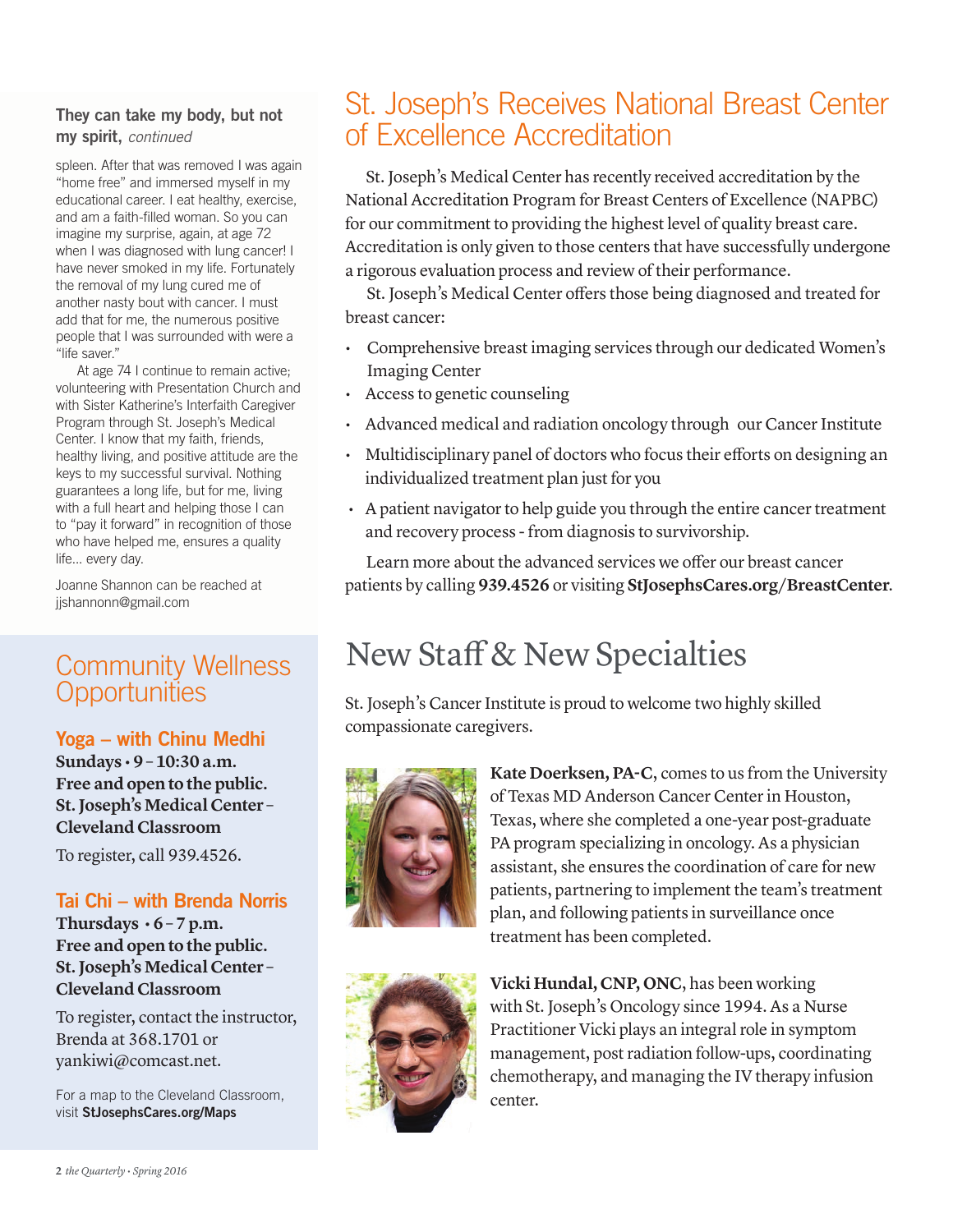#### They can take my body, but not my spirit, *continued*

spleen. After that was removed I was again "home free" and immersed myself in my educational career. I eat healthy, exercise, and am a faith-filled woman. So you can imagine my surprise, again, at age 72 when I was diagnosed with lung cancer! I have never smoked in my life. Fortunately the removal of my lung cured me of another nasty bout with cancer. I must add that for me, the numerous positive people that I was surrounded with were a "life saver."

At age 74 I continue to remain active; volunteering with Presentation Church and with Sister Katherine's Interfaith Caregiver Program through St. Joseph's Medical Center. I know that my faith, friends, healthy living, and positive attitude are the keys to my successful survival. Nothing guarantees a long life, but for me, living with a full heart and helping those I can to "pay it forward" in recognition of those who have helped me, ensures a quality life... every day.

Joanne Shannon can be reached at jjshannonn@gmail.com

## Community Wellness **Opportunities**

#### Yoga – with Chinu Medhi

**Sundays • 9 – 10:30 a.m. Free and open to the public. St. Joseph's Medical Center – Cleveland Classroom** 

To register, call 939.4526.

#### Tai Chi – with Brenda Norris

Thursdays  $\cdot$  6 – 7 p.m. **Free and open to the public. St. Joseph's Medical Center – Cleveland Classroom**

To register, contact the instructor, Brenda at 368.1701 or yankiwi@comcast.net.

For a map to the Cleveland Classroom, visit StJosephsCares.org/Maps

## St. Joseph's Receives National Breast Center of Excellence Accreditation

St. Joseph's Medical Center has recently received accreditation by the National Accreditation Program for Breast Centers of Excellence (NAPBC) for our commitment to providing the highest level of quality breast care. Accreditation is only given to those centers that have successfully undergone a rigorous evaluation process and review of their performance.

St. Joseph's Medical Center offers those being diagnosed and treated for breast cancer:

- Comprehensive breast imaging services through our dedicated Women's Imaging Center
- Access to genetic counseling
- Advanced medical and radiation oncology through our Cancer Institute
- Multidisciplinary panel of doctors who focus their efforts on designing an individualized treatment plan just for you
- A patient navigator to help guide you through the entire cancer treatment and recovery process - from diagnosis to survivorship.

Learn more about the advanced services we offer our breast cancer patients by calling **939.4526** or visiting **StJosephsCares.org/BreastCenter**.

# New Staff & New Specialties

St. Joseph's Cancer Institute is proud to welcome two highly skilled compassionate caregivers.



**Kate Doerksen, PA-C**, comes to us from the University of Texas MD Anderson Cancer Center in Houston, Texas, where she completed a one-year post-graduate PA program specializing in oncology. As a physician assistant, she ensures the coordination of care for new patients, partnering to implement the team's treatment plan, and following patients in surveillance once treatment has been completed.



**Vicki Hundal, CNP, ONC**, has been working with St. Joseph's Oncology since 1994. As a Nurse Practitioner Vicki plays an integral role in symptom management, post radiation follow-ups, coordinating chemotherapy, and managing the IV therapy infusion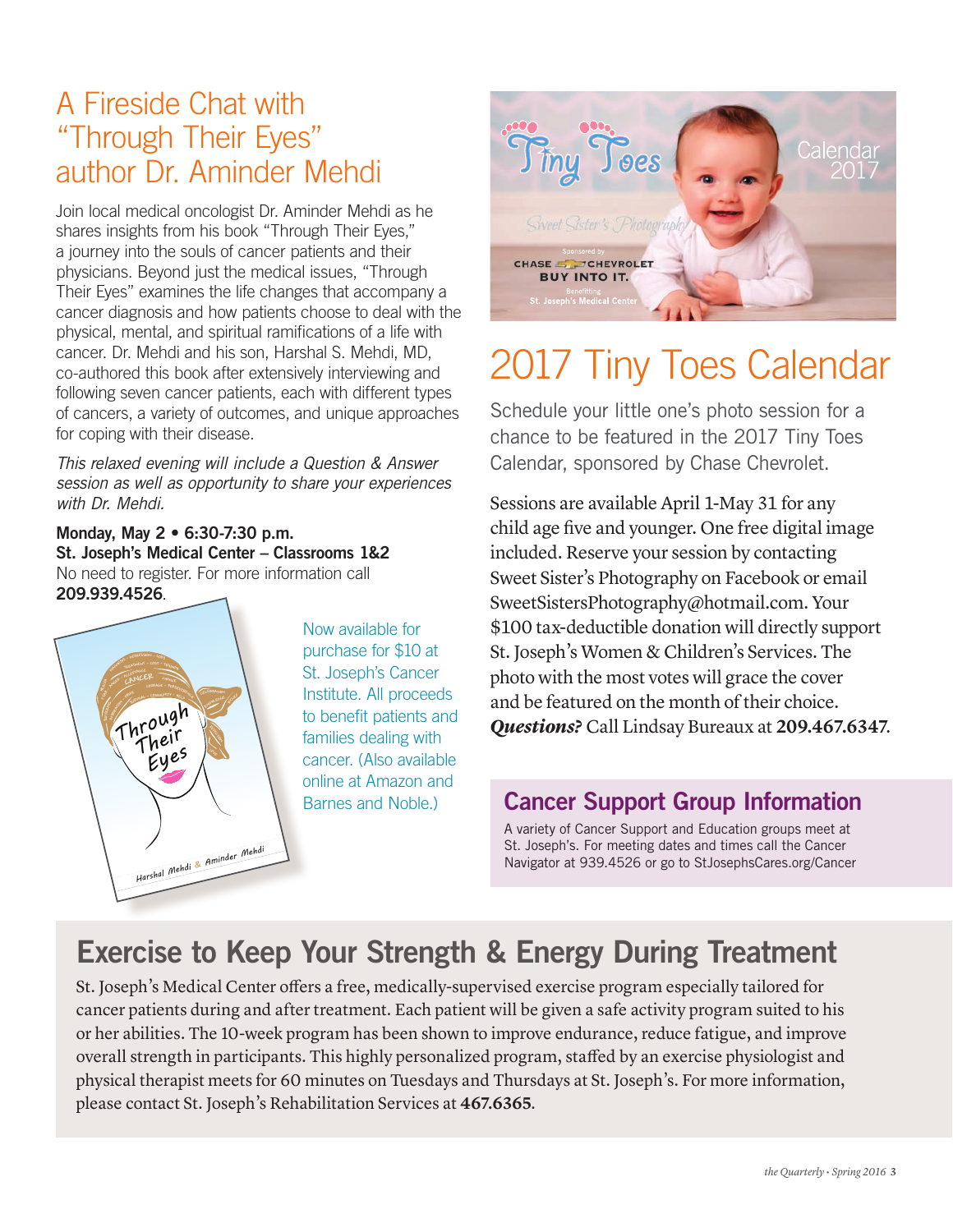# A Fireside Chat with "Through Their Eyes" author Dr. Aminder Mehdi

Join local medical oncologist Dr. Aminder Mehdi as he shares insights from his book "Through Their Eyes," a journey into the souls of cancer patients and their physicians. Beyond just the medical issues, "Through Their Eyes" examines the life changes that accompany a cancer diagnosis and how patients choose to deal with the physical, mental, and spiritual ramifications of a life with cancer. Dr. Mehdi and his son, Harshal S. Mehdi, MD, co-authored this book after extensively interviewing and following seven cancer patients, each with different types of cancers, a variety of outcomes, and unique approaches for coping with their disease.

*This relaxed evening will include a Question & Answer session as well as opportunity to share your experiences with Dr. Mehdi.*

Monday, May 2 • 6:30-7:30 p.m. St. Joseph's Medical Center – Classrooms 1&2 No need to register. For more information call 209.939.4526.



Now available for purchase for \$10 at St. Joseph's Cancer Institute. All proceeds to benefit patients and families dealing with cancer. (Also available online at Amazon and Barnes and Noble.)



# 2017 Tiny Toes Calendar

Schedule your little one's photo session for a chance to be featured in the 2017 Tiny Toes Calendar, sponsored by Chase Chevrolet. 16-511 Tiny Toes Calendar 2017 Postcard PRINT

Sessions are available April 1-May 31 for any child age five and younger. One free digital image included. Reserve your session by contacting Sweet Sister's Photography on Facebook or email SweetSistersPhotography@hotmail.com. Your \$100 tax-deductible donation will directly support St. Joseph's Women & Children's Services. The photo with the most votes will grace the cover and be featured on the month of their choice. *Questions?* Call Lindsay Bureaux at **209.467.6347**.

#### Cancer Support Group Information

A variety of Cancer Support and Education groups meet at St. Joseph's. For meeting dates and times call the Cancer Navigator at 939.4526 or go to StJosephsCares.org/Cancer

# Exercise to Keep Your Strength & Energy During Treatment

St. Joseph's Medical Center offers a free, medically-supervised exercise program especially tailored for cancer patients during and after treatment. Each patient will be given a safe activity program suited to his or her abilities. The 10-week program has been shown to improve endurance, reduce fatigue, and improve overall strength in participants. This highly personalized program, staffed by an exercise physiologist and physical therapist meets for 60 minutes on Tuesdays and Thursdays at St. Joseph's. For more information, please contact St. Joseph's Rehabilitation Services at **467.6365**.